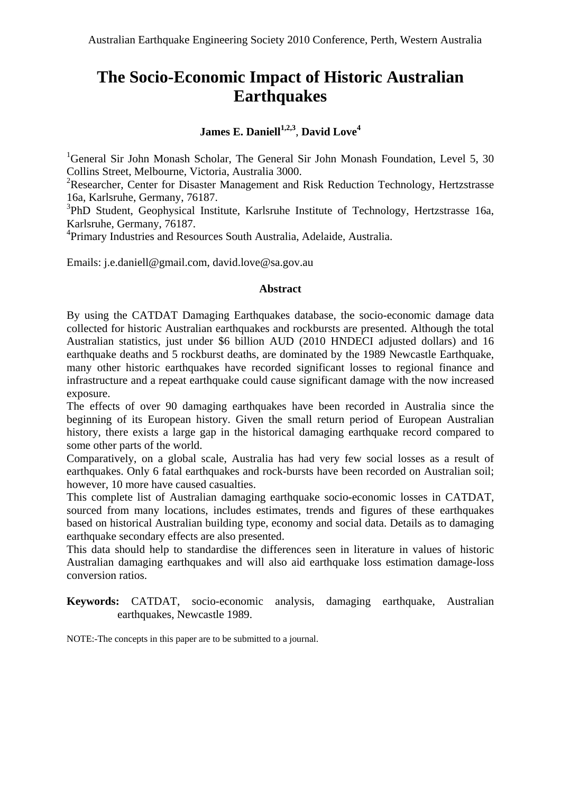# **The Socio-Economic Impact of Historic Australian Earthquakes**

# **James E. Daniell**<sup> $1,2,3$ </sup>, **David Love**<sup>4</sup>

<sup>1</sup>General Sir John Monash Scholar, The General Sir John Monash Foundation, Level 5, 30 Collins Street, Melbourne, Victoria, Australia 3000.

<sup>2</sup>Researcher, Center for Disaster Management and Risk Reduction Technology, Hertzstrasse 16a, Karlsruhe, Germany, 76187.

<sup>3</sup>PhD Student, Geophysical Institute, Karlsruhe Institute of Technology, Hertzstrasse 16a, Karlsruhe, Germany, 76187.

4 Primary Industries and Resources South Australia, Adelaide, Australia.

Emails: j.e.daniell@gmail.com, david.love@sa.gov.au

#### **Abstract**

By using the CATDAT Damaging Earthquakes database, the socio-economic damage data collected for historic Australian earthquakes and rockbursts are presented. Although the total Australian statistics, just under \$6 billion AUD (2010 HNDECI adjusted dollars) and 16 earthquake deaths and 5 rockburst deaths, are dominated by the 1989 Newcastle Earthquake, many other historic earthquakes have recorded significant losses to regional finance and infrastructure and a repeat earthquake could cause significant damage with the now increased exposure.

The effects of over 90 damaging earthquakes have been recorded in Australia since the beginning of its European history. Given the small return period of European Australian history, there exists a large gap in the historical damaging earthquake record compared to some other parts of the world.

Comparatively, on a global scale, Australia has had very few social losses as a result of earthquakes. Only 6 fatal earthquakes and rock-bursts have been recorded on Australian soil; however, 10 more have caused casualties.

This complete list of Australian damaging earthquake socio-economic losses in CATDAT, sourced from many locations, includes estimates, trends and figures of these earthquakes based on historical Australian building type, economy and social data. Details as to damaging earthquake secondary effects are also presented.

This data should help to standardise the differences seen in literature in values of historic Australian damaging earthquakes and will also aid earthquake loss estimation damage-loss conversion ratios.

**Keywords:** CATDAT, socio-economic analysis, damaging earthquake, Australian earthquakes, Newcastle 1989.

NOTE:-The concepts in this paper are to be submitted to a journal.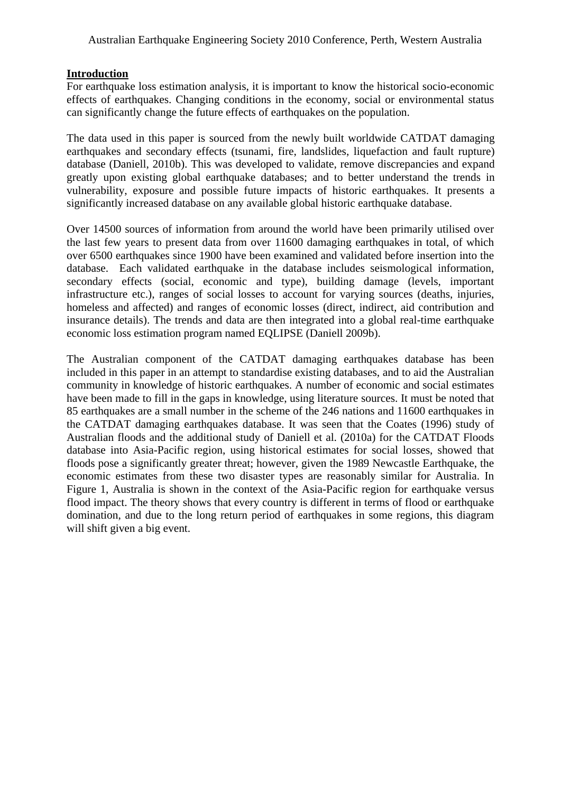#### **Introduction**

For earthquake loss estimation analysis, it is important to know the historical socio-economic effects of earthquakes. Changing conditions in the economy, social or environmental status can significantly change the future effects of earthquakes on the population.

The data used in this paper is sourced from the newly built worldwide CATDAT damaging earthquakes and secondary effects (tsunami, fire, landslides, liquefaction and fault rupture) database (Daniell, 2010b). This was developed to validate, remove discrepancies and expand greatly upon existing global earthquake databases; and to better understand the trends in vulnerability, exposure and possible future impacts of historic earthquakes. It presents a significantly increased database on any available global historic earthquake database.

Over 14500 sources of information from around the world have been primarily utilised over the last few years to present data from over 11600 damaging earthquakes in total, of which over 6500 earthquakes since 1900 have been examined and validated before insertion into the database.Each validated earthquake in the database includes seismological information, secondary effects (social, economic and type), building damage (levels, important infrastructure etc.), ranges of social losses to account for varying sources (deaths, injuries, homeless and affected) and ranges of economic losses (direct, indirect, aid contribution and insurance details). The trends and data are then integrated into a global real-time earthquake economic loss estimation program named EQLIPSE (Daniell 2009b).

The Australian component of the CATDAT damaging earthquakes database has been included in this paper in an attempt to standardise existing databases, and to aid the Australian community in knowledge of historic earthquakes. A number of economic and social estimates have been made to fill in the gaps in knowledge, using literature sources. It must be noted that 85 earthquakes are a small number in the scheme of the 246 nations and 11600 earthquakes in the CATDAT damaging earthquakes database. It was seen that the Coates (1996) study of Australian floods and the additional study of Daniell et al. (2010a) for the CATDAT Floods database into Asia-Pacific region, using historical estimates for social losses, showed that floods pose a significantly greater threat; however, given the 1989 Newcastle Earthquake, the economic estimates from these two disaster types are reasonably similar for Australia. In Figure 1, Australia is shown in the context of the Asia-Pacific region for earthquake versus flood impact. The theory shows that every country is different in terms of flood or earthquake domination, and due to the long return period of earthquakes in some regions, this diagram will shift given a big event.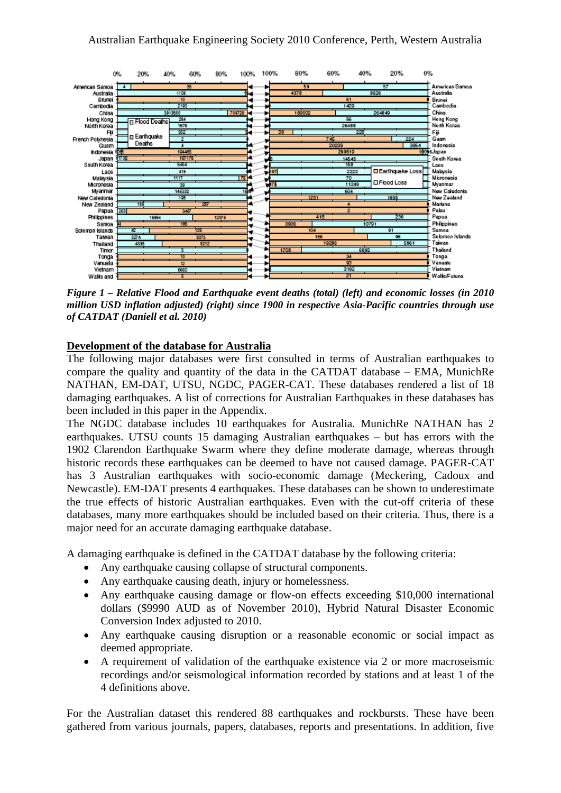

*Figure 1 – Relative Flood and Earthquake event deaths (total) (left) and economic losses (in 2010 million USD inflation adjusted) (right) since 1900 in respective Asia-Pacific countries through use of CATDAT (Daniell et al. 2010)* 

#### **Development of the database for Australia**

The following major databases were first consulted in terms of Australian earthquakes to compare the quality and quantity of the data in the CATDAT database – EMA, MunichRe NATHAN, EM-DAT, UTSU, NGDC, PAGER-CAT. These databases rendered a list of 18 damaging earthquakes. A list of corrections for Australian Earthquakes in these databases has been included in this paper in the Appendix.

The NGDC database includes 10 earthquakes for Australia. MunichRe NATHAN has 2 earthquakes. UTSU counts 15 damaging Australian earthquakes – but has errors with the 1902 Clarendon Earthquake Swarm where they define moderate damage, whereas through historic records these earthquakes can be deemed to have not caused damage. PAGER-CAT has 3 Australian earthquakes with socio-economic damage (Meckering, Cadoux and Newcastle). EM-DAT presents 4 earthquakes. These databases can be shown to underestimate the true effects of historic Australian earthquakes. Even with the cut-off criteria of these databases, many more earthquakes should be included based on their criteria. Thus, there is a major need for an accurate damaging earthquake database.

A damaging earthquake is defined in the CATDAT database by the following criteria:

- Any earthquake causing collapse of structural components.
- Any earthquake causing death, injury or homelessness.
- Any earthquake causing damage or flow-on effects exceeding \$10,000 international dollars (\$9990 AUD as of November 2010), Hybrid Natural Disaster Economic Conversion Index adjusted to 2010.
- Any earthquake causing disruption or a reasonable economic or social impact as deemed appropriate.
- A requirement of validation of the earthquake existence via 2 or more macroseismic recordings and/or seismological information recorded by stations and at least 1 of the 4 definitions above.

For the Australian dataset this rendered 88 earthquakes and rockbursts. These have been gathered from various journals, papers, databases, reports and presentations. In addition, five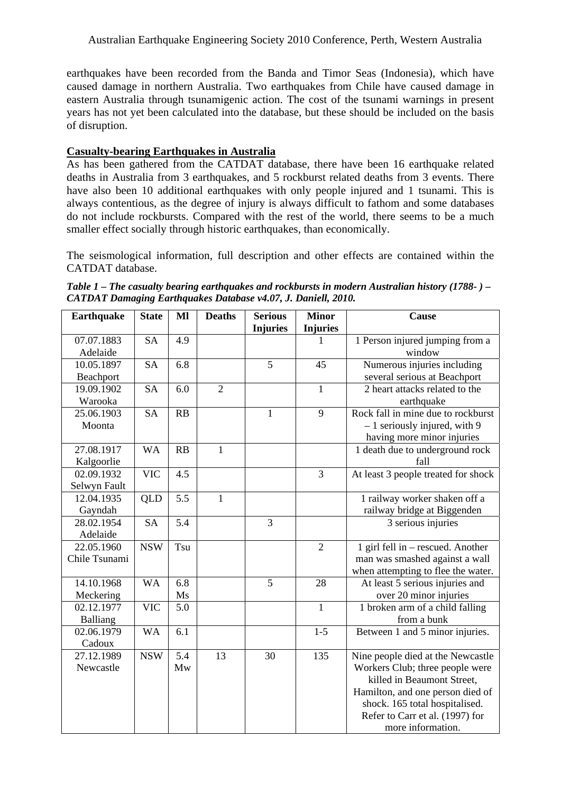earthquakes have been recorded from the Banda and Timor Seas (Indonesia), which have caused damage in northern Australia. Two earthquakes from Chile have caused damage in eastern Australia through tsunamigenic action. The cost of the tsunami warnings in present years has not yet been calculated into the database, but these should be included on the basis of disruption.

# **Casualty-bearing Earthquakes in Australia**

As has been gathered from the CATDAT database, there have been 16 earthquake related deaths in Australia from 3 earthquakes, and 5 rockburst related deaths from 3 events. There have also been 10 additional earthquakes with only people injured and 1 tsunami. This is always contentious, as the degree of injury is always difficult to fathom and some databases do not include rockbursts. Compared with the rest of the world, there seems to be a much smaller effect socially through historic earthquakes, than economically.

The seismological information, full description and other effects are contained within the CATDAT database.

| Table 1 – The casualty bearing earthquakes and rockbursts in modern Australian history (1788- ) – |  |
|---------------------------------------------------------------------------------------------------|--|
| CATDAT Damaging Earthquakes Database v4.07, J. Daniell, 2010.                                     |  |

| <b>Earthquake</b> | <b>State</b> | M                | <b>Deaths</b>  | <b>Serious</b>  | <b>Minor</b>    | Cause                               |
|-------------------|--------------|------------------|----------------|-----------------|-----------------|-------------------------------------|
|                   |              |                  |                | <b>Injuries</b> | <b>Injuries</b> |                                     |
| 07.07.1883        | <b>SA</b>    | 4.9              |                |                 | 1               | 1 Person injured jumping from a     |
| Adelaide          |              |                  |                |                 |                 | window                              |
| 10.05.1897        | <b>SA</b>    | 6.8              |                | $\overline{5}$  | 45              | Numerous injuries including         |
| Beachport         |              |                  |                |                 |                 | several serious at Beachport        |
| 19.09.1902        | <b>SA</b>    | 6.0              | $\overline{2}$ |                 | $\mathbf{1}$    | 2 heart attacks related to the      |
| Warooka           |              |                  |                |                 |                 | earthquake                          |
| 25.06.1903        | <b>SA</b>    | RB               |                | $\mathbf{1}$    | 9               | Rock fall in mine due to rockburst  |
| Moonta            |              |                  |                |                 |                 | $-1$ seriously injured, with 9      |
|                   |              |                  |                |                 |                 | having more minor injuries          |
| 27.08.1917        | <b>WA</b>    | RB               | $\mathbf{1}$   |                 |                 | 1 death due to underground rock     |
| Kalgoorlie        |              |                  |                |                 |                 | fall                                |
| 02.09.1932        | <b>VIC</b>   | 4.5              |                |                 | $\overline{3}$  | At least 3 people treated for shock |
| Selwyn Fault      |              |                  |                |                 |                 |                                     |
| 12.04.1935        | QLD          | $\overline{5.5}$ | $\mathbf{1}$   |                 |                 | 1 railway worker shaken off a       |
| Gayndah           |              |                  |                |                 |                 | railway bridge at Biggenden         |
| 28.02.1954        | <b>SA</b>    | 5.4              |                | 3               |                 | 3 serious injuries                  |
| Adelaide          |              |                  |                |                 |                 |                                     |
| 22.05.1960        | <b>NSW</b>   | Tsu              |                |                 | $\overline{2}$  | 1 girl fell in – rescued. Another   |
| Chile Tsunami     |              |                  |                |                 |                 | man was smashed against a wall      |
|                   |              |                  |                |                 |                 | when attempting to flee the water.  |
| 14.10.1968        | <b>WA</b>    | 6.8              |                | $\overline{5}$  | 28              | At least 5 serious injuries and     |
| Meckering         |              | Ms               |                |                 |                 | over 20 minor injuries              |
| 02.12.1977        | <b>VIC</b>   | 5.0              |                |                 | $\mathbf{1}$    | 1 broken arm of a child falling     |
| Balliang          |              |                  |                |                 |                 | from a bunk                         |
| 02.06.1979        | <b>WA</b>    | 6.1              |                |                 | $1 - 5$         | Between 1 and 5 minor injuries.     |
| Cadoux            |              |                  |                |                 |                 |                                     |
| 27.12.1989        | <b>NSW</b>   | 5.4              | 13             | 30              | 135             | Nine people died at the Newcastle   |
| Newcastle         |              | Mw               |                |                 |                 | Workers Club; three people were     |
|                   |              |                  |                |                 |                 | killed in Beaumont Street,          |
|                   |              |                  |                |                 |                 | Hamilton, and one person died of    |
|                   |              |                  |                |                 |                 | shock. 165 total hospitalised.      |
|                   |              |                  |                |                 |                 | Refer to Carr et al. (1997) for     |
|                   |              |                  |                |                 |                 | more information.                   |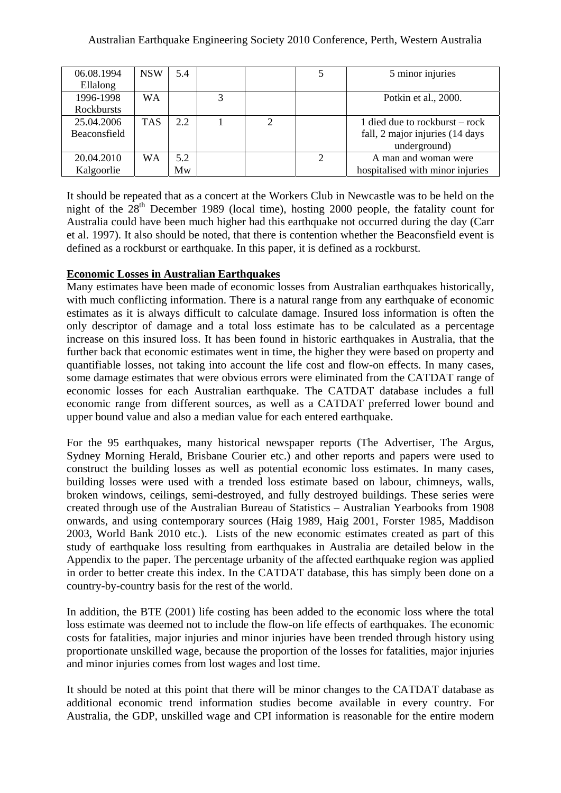| 06.08.1994   | <b>NSW</b> | 5.4 |  |   | 5 minor injuries                 |
|--------------|------------|-----|--|---|----------------------------------|
| Ellalong     |            |     |  |   |                                  |
| 1996-1998    | <b>WA</b>  |     |  |   | Potkin et al., 2000.             |
| Rockbursts   |            |     |  |   |                                  |
| 25.04.2006   | <b>TAS</b> | 2.2 |  |   | 1 died due to rockburst – rock   |
| Beaconsfield |            |     |  |   | fall, 2 major injuries (14 days  |
|              |            |     |  |   | underground)                     |
| 20.04.2010   | WA         | 5.2 |  | っ | A man and woman were             |
| Kalgoorlie   |            | Mw  |  |   | hospitalised with minor injuries |

It should be repeated that as a concert at the Workers Club in Newcastle was to be held on the night of the  $28<sup>th</sup>$  December 1989 (local time), hosting 2000 people, the fatality count for Australia could have been much higher had this earthquake not occurred during the day (Carr et al. 1997). It also should be noted, that there is contention whether the Beaconsfield event is defined as a rockburst or earthquake. In this paper, it is defined as a rockburst.

# **Economic Losses in Australian Earthquakes**

Many estimates have been made of economic losses from Australian earthquakes historically, with much conflicting information. There is a natural range from any earthquake of economic estimates as it is always difficult to calculate damage. Insured loss information is often the only descriptor of damage and a total loss estimate has to be calculated as a percentage increase on this insured loss. It has been found in historic earthquakes in Australia, that the further back that economic estimates went in time, the higher they were based on property and quantifiable losses, not taking into account the life cost and flow-on effects. In many cases, some damage estimates that were obvious errors were eliminated from the CATDAT range of economic losses for each Australian earthquake. The CATDAT database includes a full economic range from different sources, as well as a CATDAT preferred lower bound and upper bound value and also a median value for each entered earthquake.

For the 95 earthquakes, many historical newspaper reports (The Advertiser, The Argus, Sydney Morning Herald, Brisbane Courier etc.) and other reports and papers were used to construct the building losses as well as potential economic loss estimates. In many cases, building losses were used with a trended loss estimate based on labour, chimneys, walls, broken windows, ceilings, semi-destroyed, and fully destroyed buildings. These series were created through use of the Australian Bureau of Statistics – Australian Yearbooks from 1908 onwards, and using contemporary sources (Haig 1989, Haig 2001, Forster 1985, Maddison 2003, World Bank 2010 etc.). Lists of the new economic estimates created as part of this study of earthquake loss resulting from earthquakes in Australia are detailed below in the Appendix to the paper. The percentage urbanity of the affected earthquake region was applied in order to better create this index. In the CATDAT database, this has simply been done on a country-by-country basis for the rest of the world.

In addition, the BTE (2001) life costing has been added to the economic loss where the total loss estimate was deemed not to include the flow-on life effects of earthquakes. The economic costs for fatalities, major injuries and minor injuries have been trended through history using proportionate unskilled wage, because the proportion of the losses for fatalities, major injuries and minor injuries comes from lost wages and lost time.

It should be noted at this point that there will be minor changes to the CATDAT database as additional economic trend information studies become available in every country. For Australia, the GDP, unskilled wage and CPI information is reasonable for the entire modern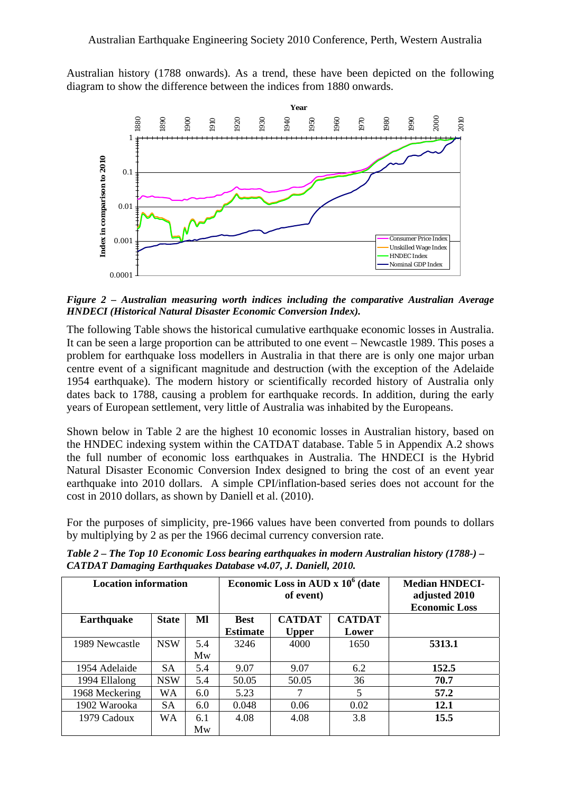Australian history (1788 onwards). As a trend, these have been depicted on the following diagram to show the difference between the indices from 1880 onwards.



*Figure 2 – Australian measuring worth indices including the comparative Australian Average HNDECI (Historical Natural Disaster Economic Conversion Index).* 

The following Table shows the historical cumulative earthquake economic losses in Australia. It can be seen a large proportion can be attributed to one event – Newcastle 1989. This poses a problem for earthquake loss modellers in Australia in that there are is only one major urban centre event of a significant magnitude and destruction (with the exception of the Adelaide 1954 earthquake). The modern history or scientifically recorded history of Australia only dates back to 1788, causing a problem for earthquake records. In addition, during the early years of European settlement, very little of Australia was inhabited by the Europeans.

Shown below in Table 2 are the highest 10 economic losses in Australian history, based on the HNDEC indexing system within the CATDAT database. Table 5 in Appendix A.2 shows the full number of economic loss earthquakes in Australia. The HNDECI is the Hybrid Natural Disaster Economic Conversion Index designed to bring the cost of an event year earthquake into 2010 dollars. A simple CPI/inflation-based series does not account for the cost in 2010 dollars, as shown by Daniell et al. (2010).

For the purposes of simplicity, pre-1966 values have been converted from pounds to dollars by multiplying by 2 as per the 1966 decimal currency conversion rate.

**Location information** Economic Loss in AUD x  $10^6$  (date **of event) Median HNDECIadjusted 2010 Economic Loss**  Earthquake | State | Ml | Best **Estimate CATDAT Upper CATDAT Lower**  1989 Newcastle NSW 5.4 Mw 3246 4000 1650 **5313.1**  1954 Adelaide SA 5.4 9.07 9.07 6.2 **152.5**  1994 Ellalong | NSW | 5.4 | 50.05 | 50.05 | 36 | 70.7 1968 Meckering | WA | 6.0 | 5.23 | 7 | 5 | 57.2 1902 Warooka SA 6.0 0.048 0.06 0.02 **12.1**  1979 Cadoux WA 6.1 Mw 4.08 4.08 3.8 **15.5** 

*Table 2 – The Top 10 Economic Loss bearing earthquakes in modern Australian history (1788-) – CATDAT Damaging Earthquakes Database v4.07, J. Daniell, 2010.*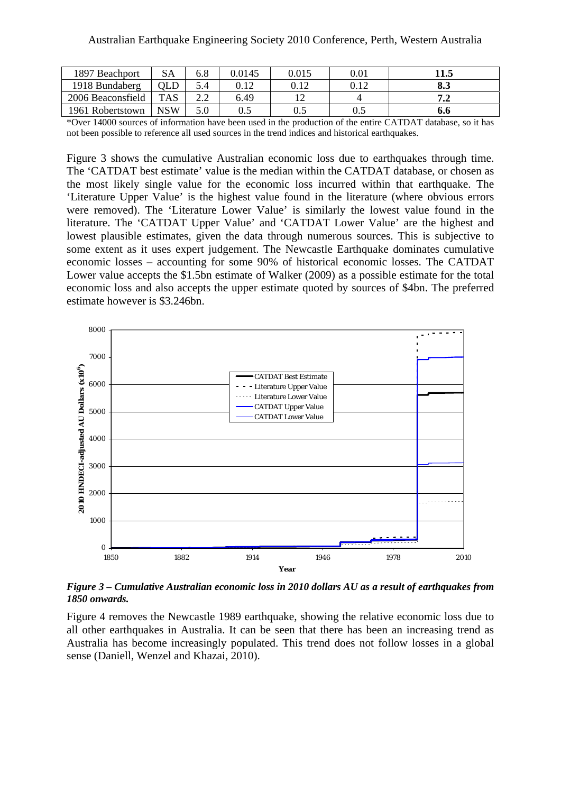| 1897 Beachport    | SA         | 6.8 | 0.0145 | 0.015 | $\rm 0.01$ | 11.5 |
|-------------------|------------|-----|--------|-------|------------|------|
| 1918 Bundaberg    | OLD        |     |        | 0.12  | 0.12       | o.J  |
| 2006 Beaconsfield | <b>TAS</b> |     | 6.49   |       |            | .    |
| 1961 Robertstown  | NSW        |     | U.J    | 0.5   | 0.5        | 0.0  |

\*Over 14000 sources of information have been used in the production of the entire CATDAT database, so it has not been possible to reference all used sources in the trend indices and historical earthquakes.

Figure 3 shows the cumulative Australian economic loss due to earthquakes through time. The 'CATDAT best estimate' value is the median within the CATDAT database, or chosen as the most likely single value for the economic loss incurred within that earthquake. The 'Literature Upper Value' is the highest value found in the literature (where obvious errors were removed). The 'Literature Lower Value' is similarly the lowest value found in the literature. The 'CATDAT Upper Value' and 'CATDAT Lower Value' are the highest and lowest plausible estimates, given the data through numerous sources. This is subjective to some extent as it uses expert judgement. The Newcastle Earthquake dominates cumulative economic losses – accounting for some 90% of historical economic losses. The CATDAT Lower value accepts the \$1.5bn estimate of Walker (2009) as a possible estimate for the total economic loss and also accepts the upper estimate quoted by sources of \$4bn. The preferred estimate however is \$3.246bn.



*Figure 3 – Cumulative Australian economic loss in 2010 dollars AU as a result of earthquakes from 1850 onwards.* 

Figure 4 removes the Newcastle 1989 earthquake, showing the relative economic loss due to all other earthquakes in Australia. It can be seen that there has been an increasing trend as Australia has become increasingly populated. This trend does not follow losses in a global sense (Daniell, Wenzel and Khazai, 2010).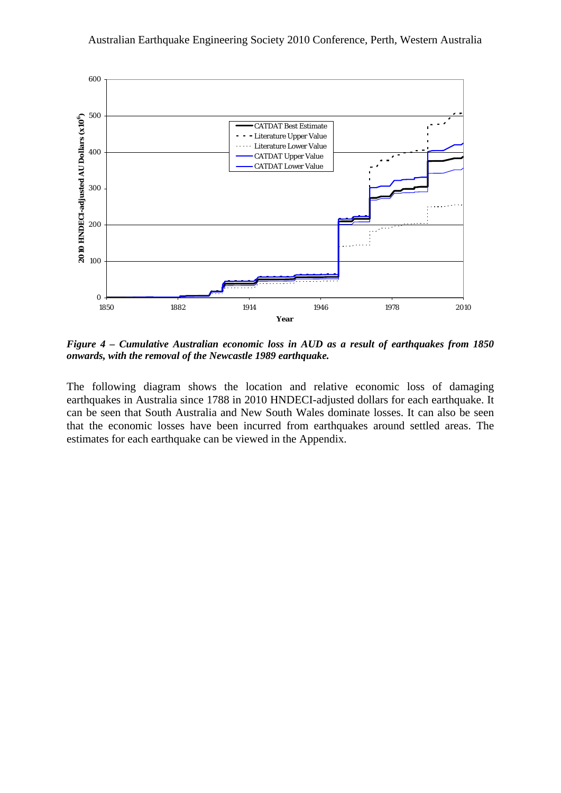

*Figure 4 – Cumulative Australian economic loss in AUD as a result of earthquakes from 1850 onwards, with the removal of the Newcastle 1989 earthquake.* 

The following diagram shows the location and relative economic loss of damaging earthquakes in Australia since 1788 in 2010 HNDECI-adjusted dollars for each earthquake. It can be seen that South Australia and New South Wales dominate losses. It can also be seen that the economic losses have been incurred from earthquakes around settled areas. The estimates for each earthquake can be viewed in the Appendix.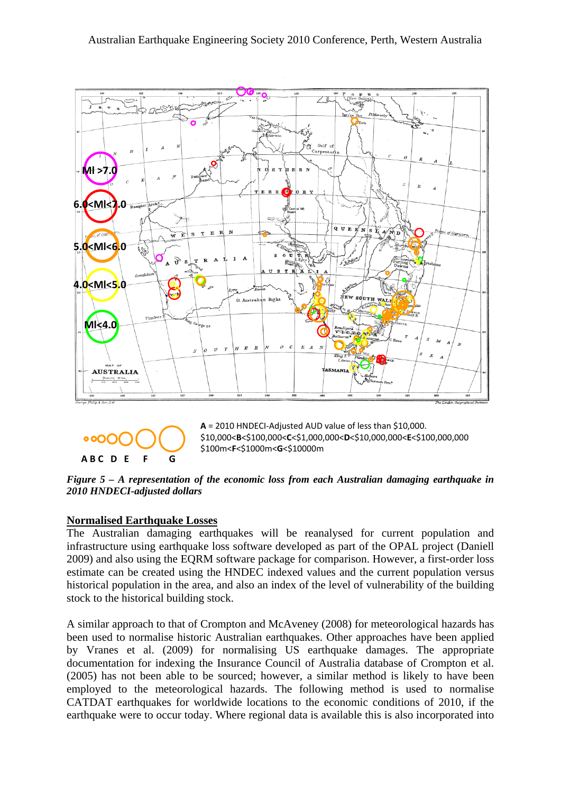

# $\circ$ oO $\circ$ **A B C D E F G**

**A** = 2010 HNDECI‐Adjusted AUD value of less than \$10,000. \$10,000<**B**<\$100,000<**C**<\$1,000,000<**D**<\$10,000,000<**E**<\$100,000,000 \$100m<**F**<\$1000m<**G**<\$10000m

*Figure 5 – A representation of the economic loss from each Australian damaging earthquake in 2010 HNDECI-adjusted dollars* 

# **Normalised Earthquake Losses**

The Australian damaging earthquakes will be reanalysed for current population and infrastructure using earthquake loss software developed as part of the OPAL project (Daniell 2009) and also using the EQRM software package for comparison. However, a first-order loss estimate can be created using the HNDEC indexed values and the current population versus historical population in the area, and also an index of the level of vulnerability of the building stock to the historical building stock.

A similar approach to that of Crompton and McAveney (2008) for meteorological hazards has been used to normalise historic Australian earthquakes. Other approaches have been applied by Vranes et al. (2009) for normalising US earthquake damages. The appropriate documentation for indexing the Insurance Council of Australia database of Crompton et al. (2005) has not been able to be sourced; however, a similar method is likely to have been employed to the meteorological hazards. The following method is used to normalise CATDAT earthquakes for worldwide locations to the economic conditions of 2010, if the earthquake were to occur today. Where regional data is available this is also incorporated into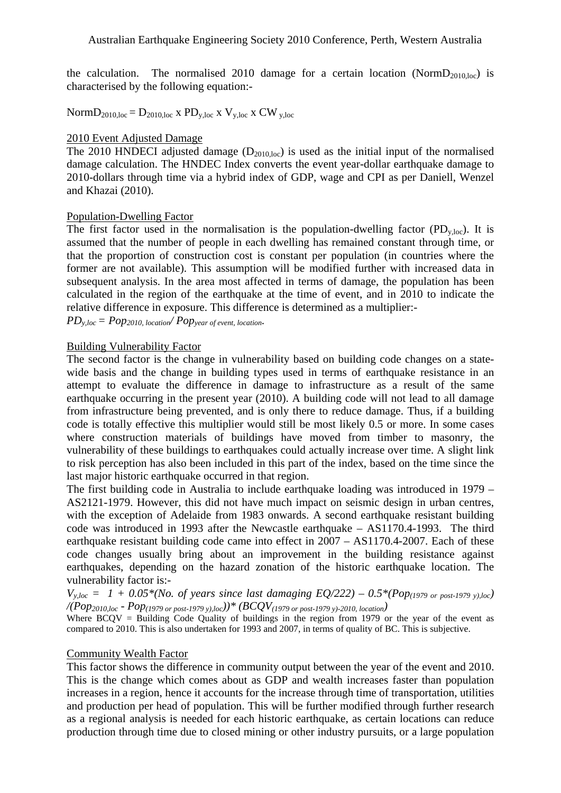the calculation. The normalised 2010 damage for a certain location (Norm $D_{2010,loc}$ ) is characterised by the following equation:-

Norm $D_{2010,loc} = D_{2010,loc}$  x  $PD_{v,loc}$  x  $V_{v,loc}$  x  $CW_{v,loc}$ 

#### 2010 Event Adjusted Damage

The 2010 HNDECI adjusted damage  $(D_{2010,loc})$  is used as the initial input of the normalised damage calculation. The HNDEC Index converts the event year-dollar earthquake damage to 2010-dollars through time via a hybrid index of GDP, wage and CPI as per Daniell, Wenzel and Khazai (2010).

#### Population-Dwelling Factor

The first factor used in the normalisation is the population-dwelling factor  $(PD_{v,loc})$ . It is assumed that the number of people in each dwelling has remained constant through time, or that the proportion of construction cost is constant per population (in countries where the former are not available). This assumption will be modified further with increased data in subsequent analysis. In the area most affected in terms of damage, the population has been calculated in the region of the earthquake at the time of event, and in 2010 to indicate the relative difference in exposure. This difference is determined as a multiplier:-

 $PD_{y,loc}= Pop_{2010, location}/ Pop_{year of event, location.$ 

#### Building Vulnerability Factor

The second factor is the change in vulnerability based on building code changes on a statewide basis and the change in building types used in terms of earthquake resistance in an attempt to evaluate the difference in damage to infrastructure as a result of the same earthquake occurring in the present year (2010). A building code will not lead to all damage from infrastructure being prevented, and is only there to reduce damage. Thus, if a building code is totally effective this multiplier would still be most likely 0.5 or more. In some cases where construction materials of buildings have moved from timber to masonry, the vulnerability of these buildings to earthquakes could actually increase over time. A slight link to risk perception has also been included in this part of the index, based on the time since the last major historic earthquake occurred in that region.

The first building code in Australia to include earthquake loading was introduced in 1979 – AS2121-1979. However, this did not have much impact on seismic design in urban centres, with the exception of Adelaide from 1983 onwards. A second earthquake resistant building code was introduced in 1993 after the Newcastle earthquake – AS1170.4-1993. The third earthquake resistant building code came into effect in 2007 – AS1170.4-2007. Each of these code changes usually bring about an improvement in the building resistance against earthquakes, depending on the hazard zonation of the historic earthquake location. The vulnerability factor is:-

 $V_{y,loc} = 1 + 0.05*(No. of years since last damaging EQ/222) - 0.5*(Pop_{(1979 or post-1979 y),loc})$ */(Pop2010,loc - Pop(1979 or post-1979 y),loc))\* (BCQV(1979 or post-1979 y)-2010, location)* 

Where  $BCQV =$  Building Code Quality of buildings in the region from 1979 or the year of the event as compared to 2010. This is also undertaken for 1993 and 2007, in terms of quality of BC. This is subjective.

#### Community Wealth Factor

This factor shows the difference in community output between the year of the event and 2010. This is the change which comes about as GDP and wealth increases faster than population increases in a region, hence it accounts for the increase through time of transportation, utilities and production per head of population. This will be further modified through further research as a regional analysis is needed for each historic earthquake, as certain locations can reduce production through time due to closed mining or other industry pursuits, or a large population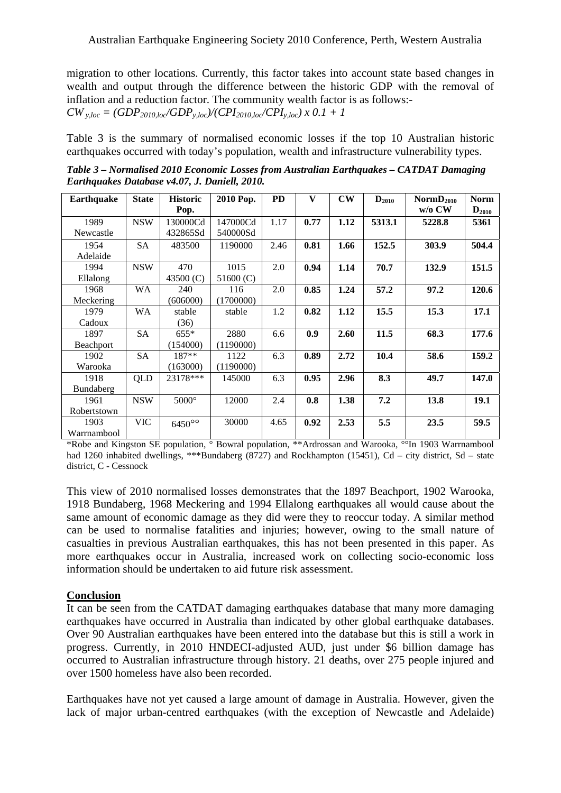migration to other locations. Currently, this factor takes into account state based changes in wealth and output through the difference between the historic GDP with the removal of inflation and a reduction factor. The community wealth factor is as follows:-  $CW_{y,loc} = (GDP_{2010,loc}/GDP_{y,loc})/(CPI_{2010,loc}/CPI_{y,loc}) \times 0.1 + 1$ 

Table 3 is the summary of normalised economic losses if the top 10 Australian historic earthquakes occurred with today's population, wealth and infrastructure vulnerability types.

*Table 3 – Normalised 2010 Economic Losses from Australian Earthquakes – CATDAT Damaging Earthquakes Database v4.07, J. Daniell, 2010.* 

| Earthquake  | <b>State</b> | <b>Historic</b> | 2010 Pop.   | <b>PD</b> | V    | $\mathbf{C}\mathbf{W}$ | $D_{2010}$ | NormD <sub>2010</sub> | <b>Norm</b>         |
|-------------|--------------|-----------------|-------------|-----------|------|------------------------|------------|-----------------------|---------------------|
|             |              | Pop.            |             |           |      |                        |            | $w/o$ CW              | $\mathbf{D}_{2010}$ |
| 1989        | <b>NSW</b>   | 130000Cd        | 147000Cd    | 1.17      | 0.77 | 1.12                   | 5313.1     | 5228.8                | 5361                |
| Newcastle   |              | 432865Sd        | 540000Sd    |           |      |                        |            |                       |                     |
| 1954        | <b>SA</b>    | 483500          | 1190000     | 2.46      | 0.81 | 1.66                   | 152.5      | 303.9                 | 504.4               |
| Adelaide    |              |                 |             |           |      |                        |            |                       |                     |
| 1994        | <b>NSW</b>   | 470             | 1015        | 2.0       | 0.94 | 1.14                   | 70.7       | 132.9                 | 151.5               |
| Ellalong    |              | 43500 (C)       | 51600 $(C)$ |           |      |                        |            |                       |                     |
| 1968        | WA           | 240             | 116         | 2.0       | 0.85 | 1.24                   | 57.2       | 97.2                  | 120.6               |
| Meckering   |              | (606000)        | (1700000)   |           |      |                        |            |                       |                     |
| 1979        | WA           | stable          | stable      | 1.2       | 0.82 | 1.12                   | 15.5       | 15.3                  | 17.1                |
| Cadoux      |              | (36)            |             |           |      |                        |            |                       |                     |
| 1897        | <b>SA</b>    | $655*$          | 2880        | 6.6       | 0.9  | 2.60                   | 11.5       | 68.3                  | 177.6               |
| Beachport   |              | (154000)        | (1190000)   |           |      |                        |            |                       |                     |
| 1902        | <b>SA</b>    | $187**$         | 1122        | 6.3       | 0.89 | 2.72                   | 10.4       | 58.6                  | 159.2               |
| Warooka     |              | (163000)        | (1190000)   |           |      |                        |            |                       |                     |
| 1918        | QLD          | 23178***        | 145000      | 6.3       | 0.95 | 2.96                   | 8.3        | 49.7                  | 147.0               |
| Bundaberg   |              |                 |             |           |      |                        |            |                       |                     |
| 1961        | <b>NSW</b>   | $5000^\circ$    | 12000       | 2.4       | 0.8  | 1.38                   | 7.2        | 13.8                  | 19.1                |
| Robertstown |              |                 |             |           |      |                        |            |                       |                     |
| 1903        | <b>VIC</b>   | $6450^{\circ}$  | 30000       | 4.65      | 0.92 | 2.53                   | 5.5        | 23.5                  | 59.5                |
| Warrnambool |              |                 |             |           |      |                        |            |                       |                     |

\*Robe and Kingston SE population, ° Bowral population, \*\*Ardrossan and Warooka, °°In 1903 Warrnambool had 1260 inhabited dwellings, \*\*\*Bundaberg (8727) and Rockhampton (15451), Cd – city district, Sd – state district, C - Cessnock

This view of 2010 normalised losses demonstrates that the 1897 Beachport, 1902 Warooka, 1918 Bundaberg, 1968 Meckering and 1994 Ellalong earthquakes all would cause about the same amount of economic damage as they did were they to reoccur today. A similar method can be used to normalise fatalities and injuries; however, owing to the small nature of casualties in previous Australian earthquakes, this has not been presented in this paper. As more earthquakes occur in Australia, increased work on collecting socio-economic loss information should be undertaken to aid future risk assessment.

# **Conclusion**

It can be seen from the CATDAT damaging earthquakes database that many more damaging earthquakes have occurred in Australia than indicated by other global earthquake databases. Over 90 Australian earthquakes have been entered into the database but this is still a work in progress. Currently, in 2010 HNDECI-adjusted AUD, just under \$6 billion damage has occurred to Australian infrastructure through history. 21 deaths, over 275 people injured and over 1500 homeless have also been recorded.

Earthquakes have not yet caused a large amount of damage in Australia. However, given the lack of major urban-centred earthquakes (with the exception of Newcastle and Adelaide)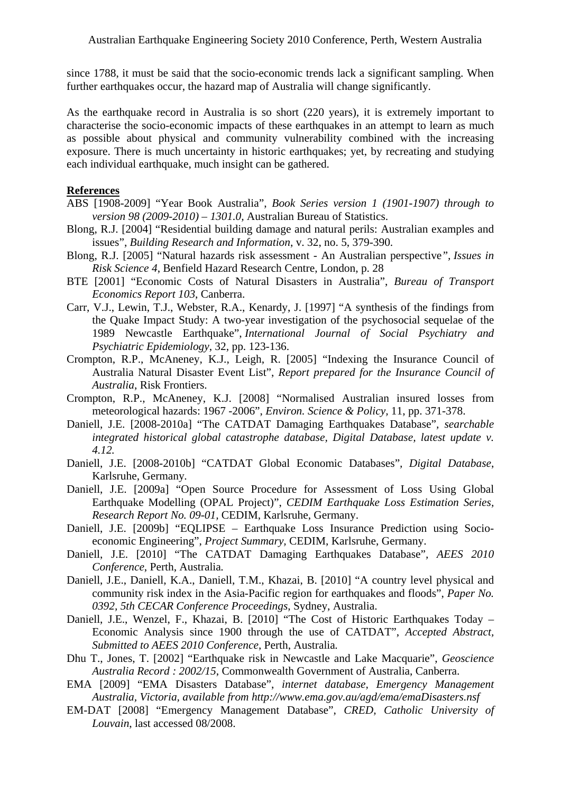since 1788, it must be said that the socio-economic trends lack a significant sampling. When further earthquakes occur, the hazard map of Australia will change significantly.

As the earthquake record in Australia is so short (220 years), it is extremely important to characterise the socio-economic impacts of these earthquakes in an attempt to learn as much as possible about physical and community vulnerability combined with the increasing exposure. There is much uncertainty in historic earthquakes; yet, by recreating and studying each individual earthquake, much insight can be gathered.

#### **References**

- ABS [1908-2009] "Year Book Australia", *Book Series version 1 (1901-1907) through to version 98 (2009-2010) – 1301.0,* Australian Bureau of Statistics.
- Blong, R.J. [2004] "Residential building damage and natural perils: Australian examples and issues", *Building Research and Information*, v. 32, no. 5, 379-390.
- Blong, R.J. [2005] "Natural hazards risk assessment An Australian perspective*", Issues in Risk Science 4*, Benfield Hazard Research Centre, London, p. 28
- BTE [2001] "Economic Costs of Natural Disasters in Australia", *Bureau of Transport Economics Report 103*, Canberra.
- Carr, V.J., Lewin, T.J., Webster, R.A., Kenardy, J. [1997] "A synthesis of the findings from the Quake Impact Study: A two-year investigation of the psychosocial sequelae of the 1989 Newcastle Earthquake", *International Journal of Social Psychiatry and Psychiatric Epidemiology*, 32, pp. 123-136.
- Crompton, R.P., McAneney, K.J., Leigh, R. [2005] "Indexing the Insurance Council of Australia Natural Disaster Event List", *Report prepared for the Insurance Council of Australia*, Risk Frontiers.
- Crompton, R.P., McAneney, K.J. [2008] "Normalised Australian insured losses from meteorological hazards: 1967 -2006", *Environ. Science & Policy,* 11, pp. 371-378.
- Daniell, J.E. [2008-2010a] "The CATDAT Damaging Earthquakes Database"*, searchable integrated historical global catastrophe database, Digital Database, latest update v. 4.12.*
- Daniell, J.E. [2008-2010b] "CATDAT Global Economic Databases"*, Digital Database*, Karlsruhe, Germany*.*
- Daniell, J.E. [2009a] "Open Source Procedure for Assessment of Loss Using Global Earthquake Modelling (OPAL Project)", *CEDIM Earthquake Loss Estimation Series, Research Report No. 09-01,* CEDIM, Karlsruhe, Germany.
- Daniell, J.E. [2009b] "EQLIPSE Earthquake Loss Insurance Prediction using Socioeconomic Engineering", *Project Summary,* CEDIM, Karlsruhe, Germany.
- Daniell, J.E. [2010] "The CATDAT Damaging Earthquakes Database"*, AEES 2010 Conference*, Perth, Australia*.*
- Daniell, J.E., Daniell, K.A., Daniell, T.M., Khazai, B. [2010] "A country level physical and community risk index in the Asia-Pacific region for earthquakes and floods", *Paper No. 0392, 5th CECAR Conference Proceedings*, Sydney, Australia.
- Daniell, J.E., Wenzel, F., Khazai, B. [2010] "The Cost of Historic Earthquakes Today Economic Analysis since 1900 through the use of CATDAT", *Accepted Abstract, Submitted to AEES 2010 Conference*, Perth, Australia*.*
- Dhu T., Jones, T. [2002] "Earthquake risk in Newcastle and Lake Macquarie", *Geoscience Australia Record : 2002/15*, Commonwealth Government of Australia, Canberra.
- EMA [2009] "EMA Disasters Database", *internet database, Emergency Management Australia, Victoria, available from http://www.ema.gov.au/agd/ema/emaDisasters.nsf*
- EM-DAT [2008] "Emergency Management Database", *CRED, Catholic University of Louvain*, last accessed 08/2008.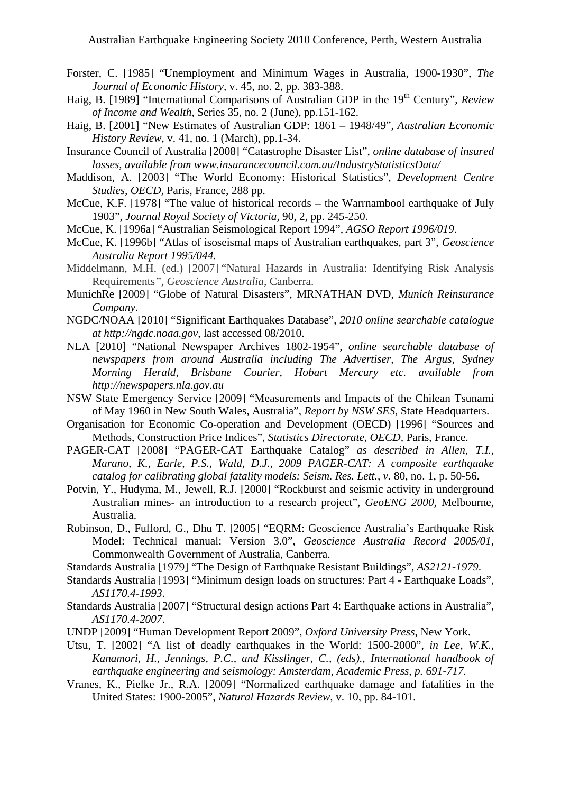- Forster, C. [1985] "Unemployment and Minimum Wages in Australia, 1900-1930", *The Journal of Economic History,* v. 45, no. 2, pp. 383-388.
- Haig, B. [1989] "International Comparisons of Australian GDP in the 19<sup>th</sup> Century", *Review of Income and Wealth*, Series 35, no. 2 (June), pp.151-162.
- Haig, B. [2001] "New Estimates of Australian GDP: 1861 1948/49", *Australian Economic History Review*, v. 41, no. 1 (March), pp.1-34.
- Insurance Council of Australia [2008] "Catastrophe Disaster List", *online database of insured losses, available from www.insurancecouncil.com.au/IndustryStatisticsData/*
- Maddison, A. [2003] "The World Economy: Historical Statistics", *Development Centre Studies, OECD,* Paris, France, 288 pp.
- McCue, K.F. [1978] "The value of historical records the Warrnambool earthquake of July 1903", *Journal Royal Society of Victoria,* 90, 2, pp. 245-250.
- McCue, K. [1996a] "Australian Seismological Report 1994", *AGSO Report 1996/019*.
- McCue, K. [1996b] "Atlas of isoseismal maps of Australian earthquakes, part 3", *Geoscience Australia Report 1995/044.*
- Middelmann, M.H. (ed.) [2007] "Natural Hazards in Australia: Identifying Risk Analysis Requirements*", Geoscience Australia*, Canberra.
- MunichRe [2009] "Globe of Natural Disasters", MRNATHAN DVD, *Munich Reinsurance Company*.
- NGDC/NOAA [2010] "Significant Earthquakes Database", *2010 online searchable catalogue at http://ngdc.noaa.gov*, last accessed 08/2010.
- NLA [2010] "National Newspaper Archives 1802-1954", *online searchable database of newspapers from around Australia including The Advertiser, The Argus, Sydney Morning Herald, Brisbane Courier, Hobart Mercury etc. available from http://newspapers.nla.gov.au*
- NSW State Emergency Service [2009] "Measurements and Impacts of the Chilean Tsunami of May 1960 in New South Wales, Australia", *Report by NSW SES*, State Headquarters.
- Organisation for Economic Co-operation and Development (OECD) [1996] "Sources and Methods, Construction Price Indices", *Statistics Directorate, OECD,* Paris, France.
- PAGER-CAT [2008] "PAGER-CAT Earthquake Catalog" *as described in Allen, T.I., Marano, K., Earle, P.S., Wald, D.J., 2009 PAGER-CAT: A composite earthquake catalog for calibrating global fatality models: Seism. Res. Lett., v. 80, no. 1, p. 50-56.*
- Potvin, Y., Hudyma, M., Jewell, R.J. [2000] "Rockburst and seismic activity in underground Australian mines- an introduction to a research project", *GeoENG 2000,* Melbourne, Australia.
- Robinson, D., Fulford, G., Dhu T. [2005] "EQRM: Geoscience Australia's Earthquake Risk Model: Technical manual: Version 3.0", *Geoscience Australia Record 2005/01*, Commonwealth Government of Australia, Canberra.
- Standards Australia [1979] "The Design of Earthquake Resistant Buildings", *AS2121-1979*.
- Standards Australia [1993] "Minimum design loads on structures: Part 4 Earthquake Loads", *AS1170.4-1993*.
- Standards Australia [2007] "Structural design actions Part 4: Earthquake actions in Australia", *AS1170.4-2007*.
- UNDP [2009] "Human Development Report 2009", *Oxford University Press*, New York.
- Utsu, T. [2002] "A list of deadly earthquakes in the World: 1500-2000", *in Lee, W.K., Kanamori, H., Jennings, P.C., and Kisslinger, C., (eds)., International handbook of earthquake engineering and seismology: Amsterdam, Academic Press, p. 691-717.*
- Vranes*,* K., Pielke Jr., R.A. [2009] "Normalized earthquake damage and fatalities in the United States: 1900-2005", *Natural Hazards Review,* v. 10, pp. 84-101.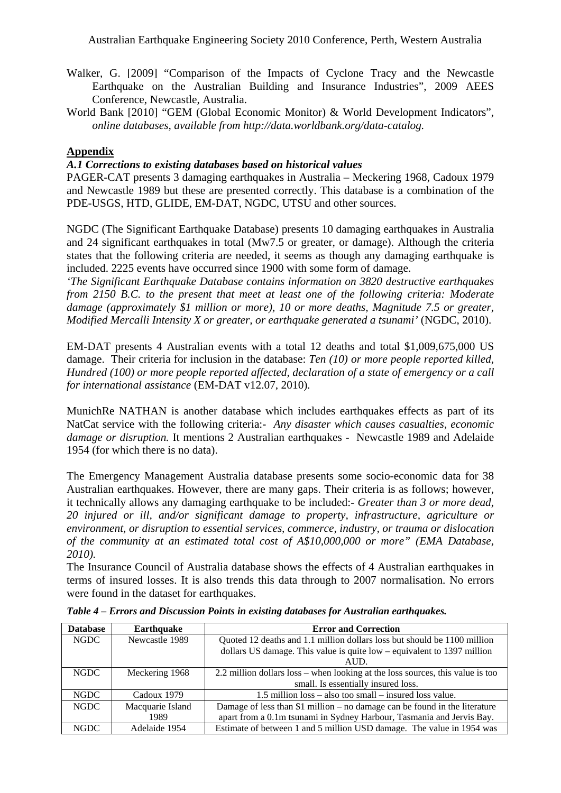- Walker, G. [2009] "Comparison of the Impacts of Cyclone Tracy and the Newcastle Earthquake on the Australian Building and Insurance Industries", 2009 AEES Conference, Newcastle, Australia.
- World Bank [2010] "GEM (Global Economic Monitor) & World Development Indicators", *online databases, available from http://data.worldbank.org/data-catalog.*

# **Appendix**

### *A.1 Corrections to existing databases based on historical values*

PAGER-CAT presents 3 damaging earthquakes in Australia – Meckering 1968, Cadoux 1979 and Newcastle 1989 but these are presented correctly. This database is a combination of the PDE-USGS, HTD, GLIDE, EM-DAT, NGDC, UTSU and other sources.

NGDC (The Significant Earthquake Database) presents 10 damaging earthquakes in Australia and 24 significant earthquakes in total (Mw7.5 or greater, or damage). Although the criteria states that the following criteria are needed, it seems as though any damaging earthquake is included. 2225 events have occurred since 1900 with some form of damage.

*'The Significant Earthquake Database contains information on 3820 destructive earthquakes from 2150 B.C. to the present that meet at least one of the following criteria: Moderate damage (approximately \$1 million or more), 10 or more deaths, Magnitude 7.5 or greater, Modified Mercalli Intensity X or greater, or earthquake generated a tsunami'* (NGDC, 2010).

EM-DAT presents 4 Australian events with a total 12 deaths and total \$1,009,675,000 US damage. Their criteria for inclusion in the database: *Ten (10) or more people reported killed, Hundred (100) or more people reported affected, declaration of a state of emergency or a call for international assistance* (EM-DAT v12.07, 2010)*.*

MunichRe NATHAN is another database which includes earthquakes effects as part of its NatCat service with the following criteria:- *Any disaster which causes casualties, economic damage or disruption.* It mentions 2 Australian earthquakes - Newcastle 1989 and Adelaide 1954 (for which there is no data).

The Emergency Management Australia database presents some socio-economic data for 38 Australian earthquakes. However, there are many gaps. Their criteria is as follows; however, it technically allows any damaging earthquake to be included:- *Greater than 3 or more dead, 20 injured or ill, and/or significant damage to property, infrastructure, agriculture or environment, or disruption to essential services, commerce, industry, or trauma or dislocation of the community at an estimated total cost of A\$10,000,000 or more" (EMA Database, 2010).* 

The Insurance Council of Australia database shows the effects of 4 Australian earthquakes in terms of insured losses. It is also trends this data through to 2007 normalisation. No errors were found in the dataset for earthquakes.

| <b>Database</b> | <b>Earthquake</b> | <b>Error and Correction</b>                                                    |
|-----------------|-------------------|--------------------------------------------------------------------------------|
| <b>NGDC</b>     | Newcastle 1989    | Quoted 12 deaths and 1.1 million dollars loss but should be 1100 million       |
|                 |                   | dollars US damage. This value is quite $low$ – equivalent to 1397 million      |
|                 |                   | AUD.                                                                           |
| <b>NGDC</b>     | Meckering 1968    | 2.2 million dollars loss – when looking at the loss sources, this value is too |
|                 |                   | small. Is essentially insured loss.                                            |
| <b>NGDC</b>     | Cadoux 1979       | 1.5 million loss – also too small – insured loss value.                        |
| <b>NGDC</b>     | Macquarie Island  | Damage of less than \$1 million $-$ no damage can be found in the literature   |
|                 | 1989              | apart from a 0.1m tsunami in Sydney Harbour, Tasmania and Jervis Bay.          |
| <b>NGDC</b>     | Adelaide 1954     | Estimate of between 1 and 5 million USD damage. The value in 1954 was          |

*Table 4 – Errors and Discussion Points in existing databases for Australian earthquakes.*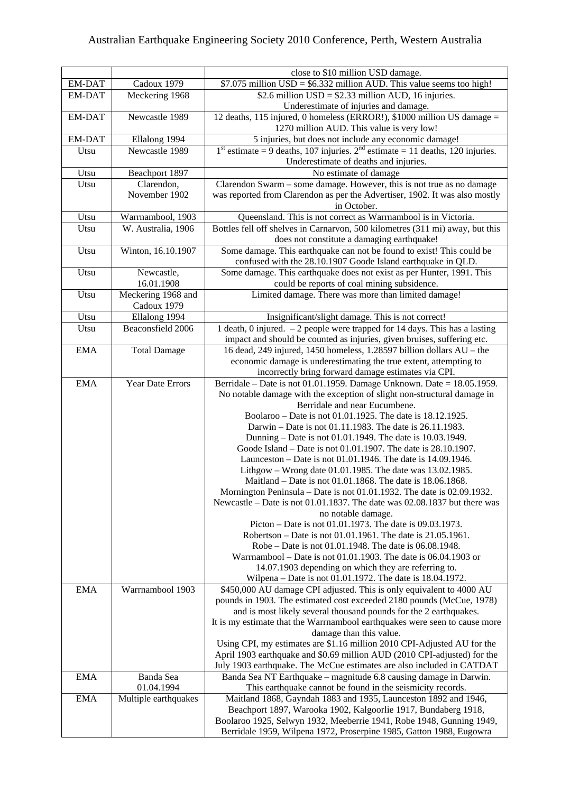|               |                             | close to \$10 million USD damage.                                                                                                 |
|---------------|-----------------------------|-----------------------------------------------------------------------------------------------------------------------------------|
| EM-DAT        | Cadoux 1979                 | \$7.075 million $USD = $6.332$ million AUD. This value seems too high!                                                            |
| EM-DAT        | Meckering 1968              | \$2.6 million $USD = $2.33$ million AUD, 16 injuries.                                                                             |
|               |                             | Underestimate of injuries and damage.                                                                                             |
| <b>EM-DAT</b> | Newcastle 1989              | 12 deaths, 115 injured, 0 homeless (ERROR!), \$1000 million US damage =                                                           |
|               |                             | 1270 million AUD. This value is very low!                                                                                         |
| EM-DAT        | Ellalong 1994               | 5 injuries, but does not include any economic damage!                                                                             |
| Utsu          | Newcastle 1989              | $1st$ estimate = 9 deaths, 107 injuries. $2nd$ estimate = 11 deaths, 120 injuries.                                                |
|               |                             | Underestimate of deaths and injuries.                                                                                             |
| Utsu          | Beachport 1897              | No estimate of damage                                                                                                             |
| Utsu          | Clarendon,<br>November 1902 | Clarendon Swarm - some damage. However, this is not true as no damage                                                             |
|               |                             | was reported from Clarendon as per the Advertiser, 1902. It was also mostly<br>in October.                                        |
| Utsu          | Warrnambool, 1903           | Queensland. This is not correct as Warrnambool is in Victoria.                                                                    |
| Utsu          | W. Australia, 1906          | Bottles fell off shelves in Carnarvon, $\overline{500}$ kilometres (311 mi) away, but this                                        |
|               |                             | does not constitute a damaging earthquake!                                                                                        |
| Utsu          | Winton, 16.10.1907          | Some damage. This earthquake can not be found to exist! This could be                                                             |
|               |                             | confused with the 28.10.1907 Goode Island earthquake in QLD.                                                                      |
| Utsu          | Newcastle,                  | Some damage. This earthquake does not exist as per Hunter, 1991. This                                                             |
|               | 16.01.1908                  | could be reports of coal mining subsidence.                                                                                       |
| Utsu          | Meckering 1968 and          | Limited damage. There was more than limited damage!                                                                               |
|               | Cadoux 1979                 |                                                                                                                                   |
| Utsu          | Ellalong 1994               | Insignificant/slight damage. This is not correct!                                                                                 |
| Utsu          | Beaconsfield 2006           | 1 death, 0 injured. $-2$ people were trapped for 14 days. This has a lasting                                                      |
|               |                             | impact and should be counted as injuries, given bruises, suffering etc.                                                           |
| <b>EMA</b>    | <b>Total Damage</b>         | 16 dead, 249 injured, 1450 homeless, 1.28597 billion dollars AU - the                                                             |
|               |                             | economic damage is underestimating the true extent, attempting to                                                                 |
|               |                             | incorrectly bring forward damage estimates via CPI.                                                                               |
| <b>EMA</b>    | Year Date Errors            | Berridale – Date is not $01.01.1959$ . Damage Unknown. Date = 18.05.1959.                                                         |
|               |                             | No notable damage with the exception of slight non-structural damage in                                                           |
|               |                             | Berridale and near Eucumbene.                                                                                                     |
|               |                             | Boolaroo – Date is not 01.01.1925. The date is 18.12.1925.                                                                        |
|               |                             | Darwin – Date is not 01.11.1983. The date is 26.11.1983.                                                                          |
|               |                             | Dunning - Date is not 01.01.1949. The date is 10.03.1949.                                                                         |
|               |                             | Goode Island – Date is not 01.01.1907. The date is 28.10.1907.                                                                    |
|               |                             | Launceston – Date is not 01.01.1946. The date is 14.09.1946.                                                                      |
|               |                             | Lithgow - Wrong date 01.01.1985. The date was 13.02.1985.<br>Maitland - Date is not 01.01.1868. The date is 18.06.1868.           |
|               |                             | Mornington Peninsula – Date is not 01.01.1932. The date is 02.09.1932.                                                            |
|               |                             | Newcastle – Date is not 01.01.1837. The date was 02.08.1837 but there was                                                         |
|               |                             | no notable damage.                                                                                                                |
|               |                             | Picton – Date is not 01.01.1973. The date is 09.03.1973.                                                                          |
|               |                             | Robertson – Date is not 01.01.1961. The date is 21.05.1961.                                                                       |
|               |                             | Robe – Date is not 01.01.1948. The date is 06.08.1948.                                                                            |
|               |                             | Warrnambool - Date is not 01.01.1903. The date is 06.04.1903 or                                                                   |
|               |                             | 14.07.1903 depending on which they are referring to.                                                                              |
|               |                             | Wilpena – Date is not 01.01.1972. The date is 18.04.1972.                                                                         |
| <b>EMA</b>    | Warrnambool 1903            | \$450,000 AU damage CPI adjusted. This is only equivalent to 4000 AU                                                              |
|               |                             | pounds in 1903. The estimated cost exceeded 2180 pounds (McCue, 1978)                                                             |
|               |                             | and is most likely several thousand pounds for the 2 earthquakes.                                                                 |
|               |                             | It is my estimate that the Warrnambool earthquakes were seen to cause more                                                        |
|               |                             | damage than this value.                                                                                                           |
|               |                             | Using CPI, my estimates are \$1.16 million 2010 CPI-Adjusted AU for the                                                           |
|               |                             | April 1903 earthquake and \$0.69 million AUD (2010 CPI-adjusted) for the                                                          |
|               |                             | July 1903 earthquake. The McCue estimates are also included in CATDAT                                                             |
| <b>EMA</b>    | Banda Sea                   | Banda Sea NT Earthquake – magnitude 6.8 causing damage in Darwin.                                                                 |
|               | 01.04.1994                  | This earthquake cannot be found in the seismicity records.                                                                        |
| <b>EMA</b>    | Multiple earthquakes        | Maitland 1868, Gayndah 1883 and 1935, Launceston 1892 and 1946,<br>Beachport 1897, Warooka 1902, Kalgoorlie 1917, Bundaberg 1918, |
|               |                             | Boolaroo 1925, Selwyn 1932, Meeberrie 1941, Robe 1948, Gunning 1949,                                                              |
|               |                             | Berridale 1959, Wilpena 1972, Proserpine 1985, Gatton 1988, Eugowra                                                               |
|               |                             |                                                                                                                                   |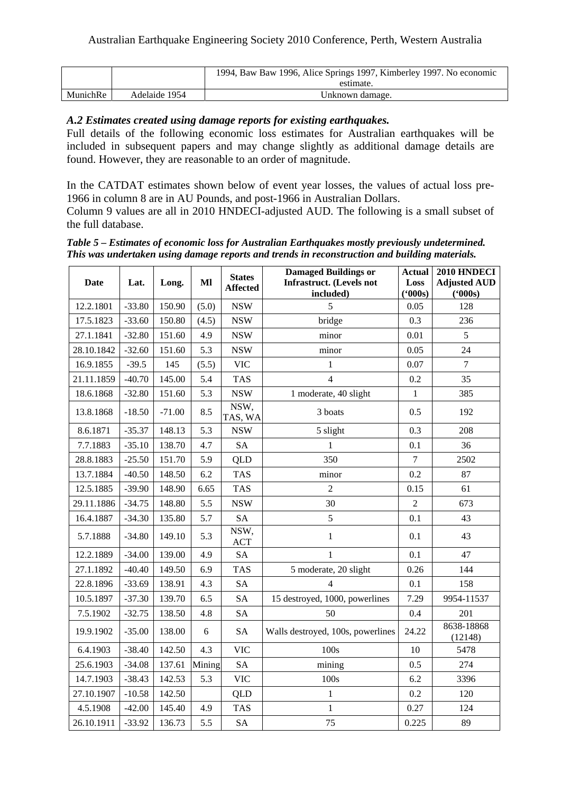|          |               | 1994, Baw Baw 1996, Alice Springs 1997, Kimberley 1997. No economic<br>estimate. |
|----------|---------------|----------------------------------------------------------------------------------|
|          |               |                                                                                  |
| MunichRe | Adelaide 1954 | Unknown damage.                                                                  |

### *A.2 Estimates created using damage reports for existing earthquakes.*

Full details of the following economic loss estimates for Australian earthquakes will be included in subsequent papers and may change slightly as additional damage details are found. However, they are reasonable to an order of magnitude.

In the CATDAT estimates shown below of event year losses, the values of actual loss pre-1966 in column 8 are in AU Pounds, and post-1966 in Australian Dollars. Column 9 values are all in 2010 HNDECI-adjusted AUD. The following is a small subset of the full database.

*Table 5 – Estimates of economic loss for Australian Earthquakes mostly previously undetermined. This was undertaken using damage reports and trends in reconstruction and building materials.* 

| <b>Date</b> | Lat.     | Long.    | Ml     | <b>States</b><br><b>Affected</b> | <b>Damaged Buildings or</b><br><b>Infrastruct.</b> (Levels not<br>included) | <b>Actual</b><br>Loss<br>(000s) | 2010 HNDECI<br><b>Adjusted AUD</b><br>(5000s) |
|-------------|----------|----------|--------|----------------------------------|-----------------------------------------------------------------------------|---------------------------------|-----------------------------------------------|
| 12.2.1801   | $-33.80$ | 150.90   | (5.0)  | <b>NSW</b>                       | 5                                                                           | 0.05                            | 128                                           |
| 17.5.1823   | $-33.60$ | 150.80   | (4.5)  | <b>NSW</b>                       | bridge                                                                      | 0.3                             | 236                                           |
| 27.1.1841   | $-32.80$ | 151.60   | 4.9    | <b>NSW</b>                       | minor                                                                       | 0.01                            | 5                                             |
| 28.10.1842  | $-32.60$ | 151.60   | 5.3    | <b>NSW</b>                       | minor                                                                       | 0.05                            | 24                                            |
| 16.9.1855   | $-39.5$  | 145      | (5.5)  | <b>VIC</b>                       | $\mathbf{1}$                                                                | 0.07                            | $\boldsymbol{7}$                              |
| 21.11.1859  | $-40.70$ | 145.00   | 5.4    | <b>TAS</b>                       | $\overline{4}$                                                              | 0.2                             | 35                                            |
| 18.6.1868   | $-32.80$ | 151.60   | 5.3    | <b>NSW</b>                       | 1 moderate, 40 slight                                                       | $\mathbf{1}$                    | 385                                           |
| 13.8.1868   | $-18.50$ | $-71.00$ | 8.5    | NSW,<br>TAS, WA                  | 3 boats                                                                     | 0.5                             | 192                                           |
| 8.6.1871    | $-35.37$ | 148.13   | 5.3    | <b>NSW</b>                       | 5 slight                                                                    | 0.3                             | 208                                           |
| 7.7.1883    | $-35.10$ | 138.70   | 4.7    | <b>SA</b>                        | $\mathbf{1}$                                                                | 0.1                             | 36                                            |
| 28.8.1883   | $-25.50$ | 151.70   | 5.9    | <b>QLD</b>                       | 350                                                                         | $\overline{7}$                  | 2502                                          |
| 13.7.1884   | $-40.50$ | 148.50   | 6.2    | <b>TAS</b>                       | minor                                                                       | 0.2                             | 87                                            |
| 12.5.1885   | $-39.90$ | 148.90   | 6.65   | <b>TAS</b>                       | $\overline{2}$                                                              | 0.15                            | 61                                            |
| 29.11.1886  | $-34.75$ | 148.80   | 5.5    | <b>NSW</b>                       | 30                                                                          | $\overline{2}$                  | 673                                           |
| 16.4.1887   | $-34.30$ | 135.80   | 5.7    | <b>SA</b>                        | 5                                                                           | 0.1                             | 43                                            |
| 5.7.1888    | $-34.80$ | 149.10   | 5.3    | NSW,<br><b>ACT</b>               | $\mathbf{1}$                                                                | 0.1                             | 43                                            |
| 12.2.1889   | $-34.00$ | 139.00   | 4.9    | <b>SA</b>                        | $\mathbf{1}$                                                                | 0.1                             | 47                                            |
| 27.1.1892   | $-40.40$ | 149.50   | 6.9    | <b>TAS</b>                       | 5 moderate, 20 slight                                                       | 0.26                            | 144                                           |
| 22.8.1896   | $-33.69$ | 138.91   | 4.3    | <b>SA</b>                        | 4                                                                           | 0.1                             | 158                                           |
| 10.5.1897   | $-37.30$ | 139.70   | 6.5    | <b>SA</b>                        | 15 destroyed, 1000, powerlines                                              | 7.29                            | 9954-11537                                    |
| 7.5.1902    | $-32.75$ | 138.50   | 4.8    | <b>SA</b>                        | 50                                                                          | 0.4                             | 201                                           |
| 19.9.1902   | $-35.00$ | 138.00   | 6      | <b>SA</b>                        | Walls destroyed, 100s, powerlines                                           | 24.22                           | 8638-18868<br>(12148)                         |
| 6.4.1903    | $-38.40$ | 142.50   | 4.3    | <b>VIC</b>                       | 100s                                                                        | 10                              | 5478                                          |
| 25.6.1903   | $-34.08$ | 137.61   | Mining | <b>SA</b>                        | mining                                                                      | 0.5                             | 274                                           |
| 14.7.1903   | $-38.43$ | 142.53   | 5.3    | <b>VIC</b>                       | 100s                                                                        | 6.2                             | 3396                                          |
| 27.10.1907  | $-10.58$ | 142.50   |        | <b>QLD</b>                       | $\mathbf{1}$                                                                | 0.2                             | 120                                           |
| 4.5.1908    | $-42.00$ | 145.40   | 4.9    | <b>TAS</b>                       | $\mathbf{1}$                                                                | 0.27                            | 124                                           |
| 26.10.1911  | $-33.92$ | 136.73   | 5.5    | <b>SA</b>                        | 75                                                                          | 0.225                           | 89                                            |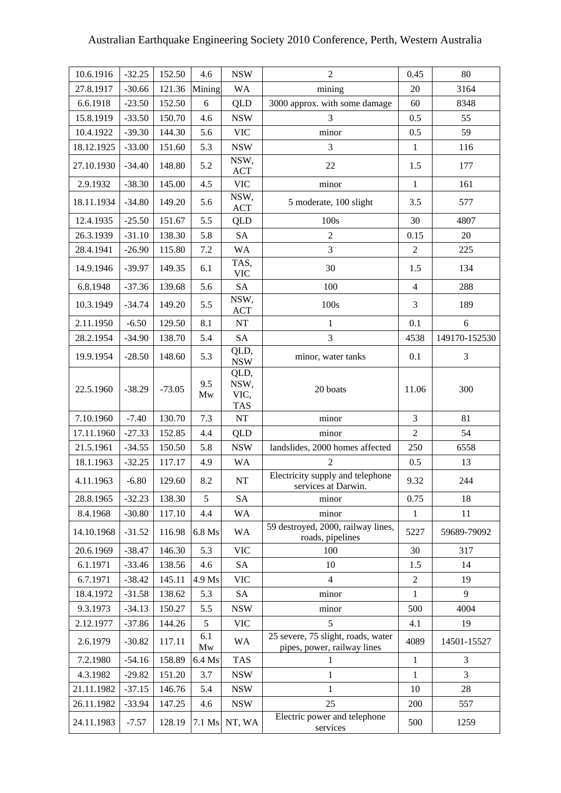| 10.6.1916  | $-32.25$ | 152.50   | 4.6       | <b>NSW</b>                         | $\overline{2}$                                                    | 0.45           | 80             |
|------------|----------|----------|-----------|------------------------------------|-------------------------------------------------------------------|----------------|----------------|
| 27.8.1917  | $-30.66$ | 121.36   | Mining    | WA                                 | mining                                                            | 20             | 3164           |
| 6.6.1918   | $-23.50$ | 152.50   | 6         | QLD                                | 3000 approx. with some damage                                     | 60             | 8348           |
| 15.8.1919  | $-33.50$ | 150.70   | 4.6       | <b>NSW</b>                         | 3                                                                 | 0.5            | 55             |
| 10.4.1922  | $-39.30$ | 144.30   | 5.6       | <b>VIC</b>                         | minor                                                             | 0.5            | 59             |
| 18.12.1925 | $-33.00$ | 151.60   | 5.3       | <b>NSW</b>                         | 3                                                                 | $\mathbf{1}$   | 116            |
| 27.10.1930 | $-34.40$ | 148.80   | 5.2       | NSW,<br><b>ACT</b>                 | 22                                                                | 1.5            | 177            |
| 2.9.1932   | $-38.30$ | 145.00   | 4.5       | <b>VIC</b>                         | minor                                                             | $\mathbf{1}$   | 161            |
| 18.11.1934 | $-34.80$ | 149.20   | 5.6       | NSW,<br><b>ACT</b>                 | 5 moderate, 100 slight                                            | 3.5            | 577            |
| 12.4.1935  | $-25.50$ | 151.67   | 5.5       | <b>QLD</b>                         | 100s                                                              | 30             | 4807           |
| 26.3.1939  | $-31.10$ | 138.30   | 5.8       | <b>SA</b>                          | $\boldsymbol{2}$                                                  | 0.15           | 20             |
| 28.4.1941  | $-26.90$ | 115.80   | $7.2\,$   | <b>WA</b>                          | 3                                                                 | $\overline{2}$ | 225            |
| 14.9.1946  | $-39.97$ | 149.35   | 6.1       | TAS,<br><b>VIC</b>                 | 30                                                                | 1.5            | 134            |
| 6.8.1948   | $-37.36$ | 139.68   | 5.6       | SA                                 | 100                                                               | $\overline{4}$ | 288            |
| 10.3.1949  | $-34.74$ | 149.20   | 5.5       | NSW,<br><b>ACT</b>                 | 100s                                                              | 3              | 189            |
| 2.11.1950  | $-6.50$  | 129.50   | 8.1       | $\rm{NT}$                          | 1                                                                 | 0.1            | 6              |
| 28.2.1954  | $-34.90$ | 138.70   | 5.4       | <b>SA</b>                          | 3                                                                 | 4538           | 149170-152530  |
| 19.9.1954  | $-28.50$ | 148.60   | 5.3       | QLD,<br><b>NSW</b>                 | minor, water tanks                                                | 0.1            | $\mathfrak{Z}$ |
| 22.5.1960  | $-38.29$ | $-73.05$ | 9.5<br>Mw | QLD,<br>NSW,<br>VIC,<br><b>TAS</b> | 20 boats                                                          | 11.06          | 300            |
| 7.10.1960  | $-7.40$  | 130.70   | 7.3       | $\rm{NT}$                          | minor                                                             | 3              | 81             |
| 17.11.1960 | $-27.33$ | 152.85   | 4.4       | QLD                                | minor                                                             | $\overline{2}$ | 54             |
| 21.5.1961  | $-34.55$ | 150.50   | 5.8       | <b>NSW</b>                         | landslides, 2000 homes affected                                   | 250            | 6558           |
| 18.1.1963  | $-32.25$ | 117.17   | 4.9       | <b>WA</b>                          | $\mathbf{2}$                                                      | 0.5            | 13             |
| 4.11.1963  | $-6.80$  | 129.60   | 8.2       | $\rm{NT}$                          | Electricity supply and telephone<br>services at Darwin.           | 9.32           | 244            |
| 28.8.1965  | $-32.23$ | 138.30   | 5         | SA                                 | minor                                                             | 0.75           | 18             |
| 8.4.1968   | $-30.80$ | 117.10   | 4.4       | <b>WA</b>                          | minor                                                             | 1              | 11             |
| 14.10.1968 | $-31.52$ | 116.98   | 6.8 Ms    | <b>WA</b>                          | 59 destroyed, 2000, railway lines,<br>roads, pipelines            | 5227           | 59689-79092    |
| 20.6.1969  | $-38.47$ | 146.30   | 5.3       | <b>VIC</b>                         | 100                                                               | 30             | 317            |
| 6.1.1971   | $-33.46$ | 138.56   | 4.6       | SA                                 | 10                                                                | 1.5            | 14             |
| 6.7.1971   | $-38.42$ | 145.11   | 4.9 Ms    | <b>VIC</b>                         | $\overline{4}$                                                    | $\sqrt{2}$     | 19             |
| 18.4.1972  | $-31.58$ | 138.62   | 5.3       | <b>SA</b>                          | minor                                                             | 1              | 9              |
| 9.3.1973   | $-34.13$ | 150.27   | 5.5       | <b>NSW</b>                         | minor                                                             | 500            | 4004           |
| 2.12.1977  | $-37.86$ | 144.26   | 5         | <b>VIC</b>                         | 5                                                                 | 4.1            | 19             |
| 2.6.1979   | $-30.82$ | 117.11   | 6.1<br>Mw | WA                                 | 25 severe, 75 slight, roads, water<br>pipes, power, railway lines | 4089           | 14501-15527    |
| 7.2.1980   | $-54.16$ | 158.89   | 6.4 Ms    | <b>TAS</b>                         | 1                                                                 | 1              | 3              |
| 4.3.1982   | $-29.82$ | 151.20   | 3.7       | <b>NSW</b>                         | 1                                                                 | 1              | 3              |
| 21.11.1982 | $-37.15$ | 146.76   | 5.4       | <b>NSW</b>                         | 1                                                                 | 10             | 28             |
| 26.11.1982 | $-33.94$ | 147.25   | 4.6       | <b>NSW</b>                         | 25                                                                | 200            | 557            |
| 24.11.1983 | $-7.57$  | 128.19   | 7.1 Ms    | NT, WA                             | Electric power and telephone<br>services                          | 500            | 1259           |